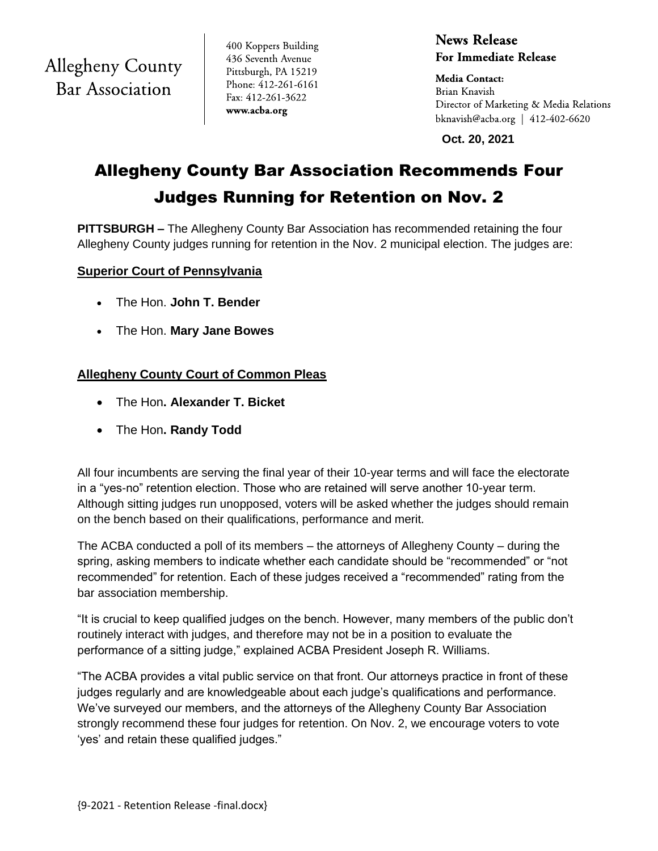**Allegheny County Bar Association** 

400 Koppers Building 436 Seventh Avenue Pittsburgh, PA 15219 Phone: 412-261-6161 Fax: 412-261-3622 www.acba.org

**News Release For Immediate Release** 

**Media Contact:** Brian Knavish Director of Marketing & Media Relations bknavish@acba.org | 412-402-6620

 **Oct. 20, 2021**

# Allegheny County Bar Association Recommends Four Judges Running for Retention on Nov. 2

**PITTSBURGH –** The Allegheny County Bar Association has recommended retaining the four Allegheny County judges running for retention in the Nov. 2 municipal election. The judges are:

## **Superior Court of Pennsylvania**

- The Hon. **John T. Bender**
- The Hon. **Mary Jane Bowes**

# **Allegheny County Court of Common Pleas**

- The Hon**. Alexander T. Bicket**
- The Hon**. Randy Todd**

All four incumbents are serving the final year of their 10-year terms and will face the electorate in a "yes-no" retention election. Those who are retained will serve another 10-year term. Although sitting judges run unopposed, voters will be asked whether the judges should remain on the bench based on their qualifications, performance and merit.

The ACBA conducted a poll of its members – the attorneys of Allegheny County – during the spring, asking members to indicate whether each candidate should be "recommended" or "not recommended" for retention. Each of these judges received a "recommended" rating from the bar association membership.

"It is crucial to keep qualified judges on the bench. However, many members of the public don't routinely interact with judges, and therefore may not be in a position to evaluate the performance of a sitting judge," explained ACBA President Joseph R. Williams.

"The ACBA provides a vital public service on that front. Our attorneys practice in front of these judges regularly and are knowledgeable about each judge's qualifications and performance. We've surveyed our members, and the attorneys of the Allegheny County Bar Association strongly recommend these four judges for retention. On Nov. 2, we encourage voters to vote 'yes' and retain these qualified judges."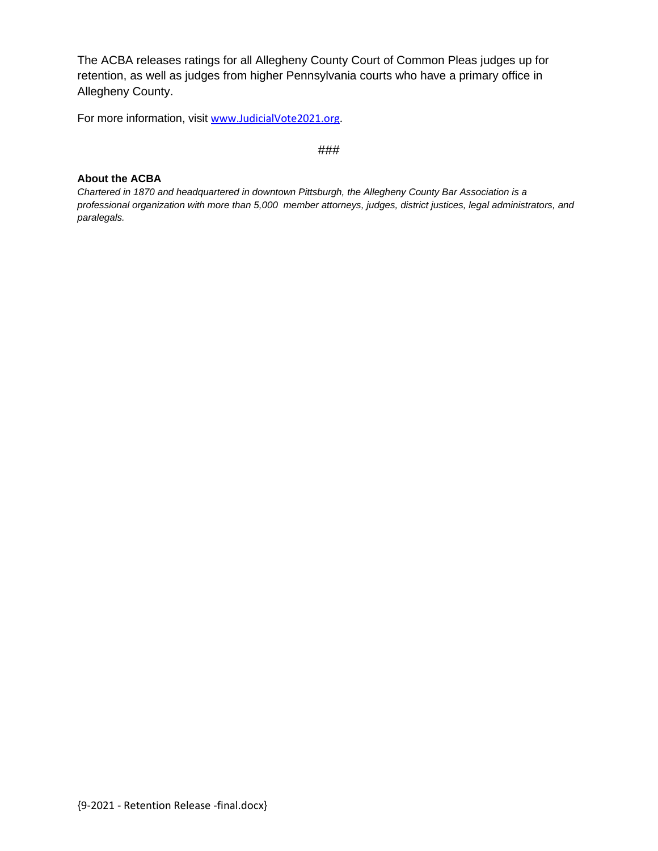The ACBA releases ratings for all Allegheny County Court of Common Pleas judges up for retention, as well as judges from higher Pennsylvania courts who have a primary office in Allegheny County.

For more information, visit [www.JudicialVote2021.org.](http://www.judicialvote2021.org/)

###

## **About the ACBA**

*Chartered in 1870 and headquartered in downtown Pittsburgh, the Allegheny County Bar Association is a professional organization with more than 5,000 member attorneys, judges, district justices, legal administrators, and paralegals.*